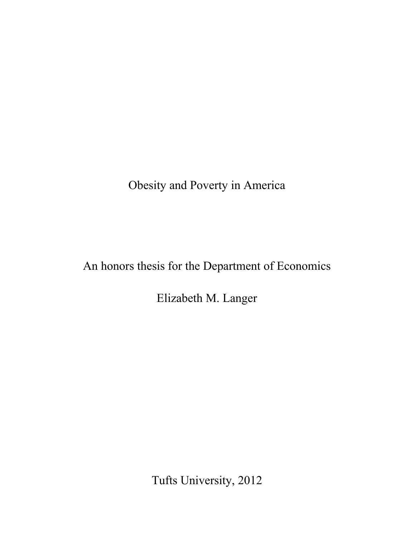Obesity and Poverty in America

An honors thesis for the Department of Economics

Elizabeth M. Langer

Tufts University, 2012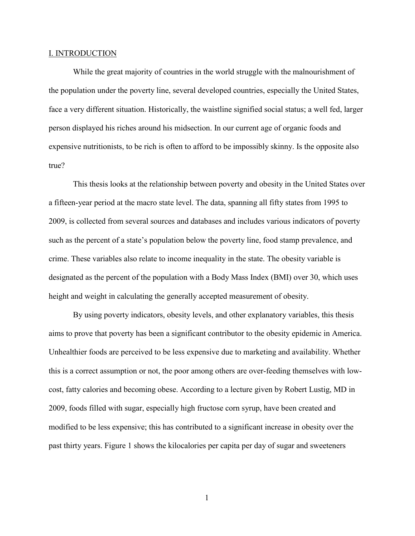#### I. INTRODUCTION

While the great majority of countries in the world struggle with the malnourishment of the population under the poverty line, several developed countries, especially the United States, face a very different situation. Historically, the waistline signified social status; a well fed, larger person displayed his riches around his midsection. In our current age of organic foods and expensive nutritionists, to be rich is often to afford to be impossibly skinny. Is the opposite also true?

This thesis looks at the relationship between poverty and obesity in the United States over a fifteen-year period at the macro state level. The data, spanning all fifty states from 1995 to 2009, is collected from several sources and databases and includes various indicators of poverty such as the percent of a state's population below the poverty line, food stamp prevalence, and crime. These variables also relate to income inequality in the state. The obesity variable is designated as the percent of the population with a Body Mass Index (BMI) over 30, which uses height and weight in calculating the generally accepted measurement of obesity.

By using poverty indicators, obesity levels, and other explanatory variables, this thesis aims to prove that poverty has been a significant contributor to the obesity epidemic in America. Unhealthier foods are perceived to be less expensive due to marketing and availability. Whether this is a correct assumption or not, the poor among others are over-feeding themselves with lowcost, fatty calories and becoming obese. According to a lecture given by Robert Lustig, MD in 2009, foods filled with sugar, especially high fructose corn syrup, have been created and modified to be less expensive; this has contributed to a significant increase in obesity over the past thirty years. Figure 1 shows the kilocalories per capita per day of sugar and sweeteners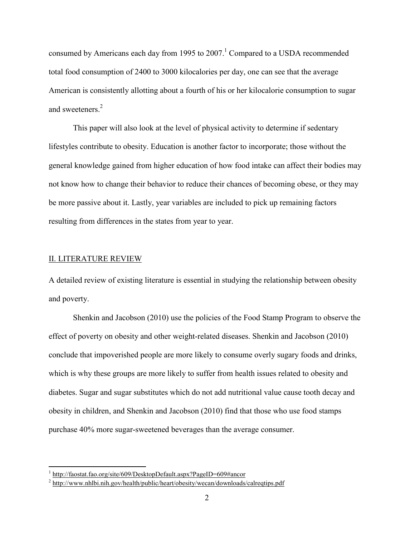consumed by Americans each day from 1995 to 2007.<sup>1</sup> Compared to a USDA recommended total food consumption of 2400 to 3000 kilocalories per day, one can see that the average American is consistently allotting about a fourth of his or her kilocalorie consumption to sugar and sweeteners.<sup>2</sup>

This paper will also look at the level of physical activity to determine if sedentary lifestyles contribute to obesity. Education is another factor to incorporate; those without the general knowledge gained from higher education of how food intake can affect their bodies may not know how to change their behavior to reduce their chances of becoming obese, or they may be more passive about it. Lastly, year variables are included to pick up remaining factors resulting from differences in the states from year to year.

# II. LITERATURE REVIEW

A detailed review of existing literature is essential in studying the relationship between obesity and poverty.

Shenkin and Jacobson (2010) use the policies of the Food Stamp Program to observe the effect of poverty on obesity and other weight-related diseases. Shenkin and Jacobson (2010) conclude that impoverished people are more likely to consume overly sugary foods and drinks, which is why these groups are more likely to suffer from health issues related to obesity and diabetes. Sugar and sugar substitutes which do not add nutritional value cause tooth decay and obesity in children, and Shenkin and Jacobson (2010) find that those who use food stamps purchase 40% more sugar-sweetened beverages than the average consumer.

<sup>&</sup>lt;sup>1</sup> [http://faostat.fao.org/site/609/DesktopDefault.aspx?PageID=609#ancor](http://faostat.fao.org/site/609/DesktopDefault.aspx?PageID=609)

<sup>&</sup>lt;sup>2</sup> <http://www.nhlbi.nih.gov/health/public/heart/obesity/wecan/downloads/calreqtips.pdf>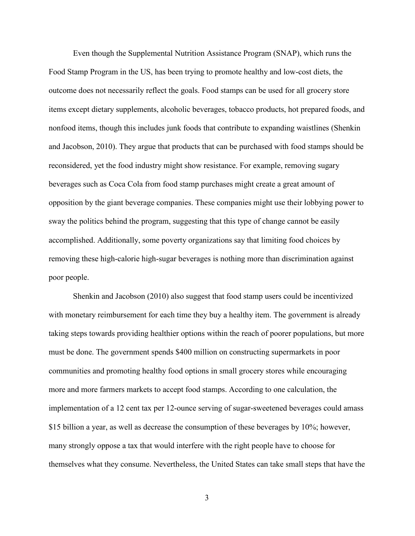Even though the Supplemental Nutrition Assistance Program (SNAP), which runs the Food Stamp Program in the US, has been trying to promote healthy and low-cost diets, the outcome does not necessarily reflect the goals. Food stamps can be used for all grocery store items except dietary supplements, alcoholic beverages, tobacco products, hot prepared foods, and nonfood items, though this includes junk foods that contribute to expanding waistlines (Shenkin and Jacobson, 2010). They argue that products that can be purchased with food stamps should be reconsidered, yet the food industry might show resistance. For example, removing sugary beverages such as Coca Cola from food stamp purchases might create a great amount of opposition by the giant beverage companies. These companies might use their lobbying power to sway the politics behind the program, suggesting that this type of change cannot be easily accomplished. Additionally, some poverty organizations say that limiting food choices by removing these high-calorie high-sugar beverages is nothing more than discrimination against poor people.

Shenkin and Jacobson (2010) also suggest that food stamp users could be incentivized with monetary reimbursement for each time they buy a healthy item. The government is already taking steps towards providing healthier options within the reach of poorer populations, but more must be done. The government spends \$400 million on constructing supermarkets in poor communities and promoting healthy food options in small grocery stores while encouraging more and more farmers markets to accept food stamps. According to one calculation, the implementation of a 12 cent tax per 12-ounce serving of sugar-sweetened beverages could amass \$15 billion a year, as well as decrease the consumption of these beverages by 10%; however, many strongly oppose a tax that would interfere with the right people have to choose for themselves what they consume. Nevertheless, the United States can take small steps that have the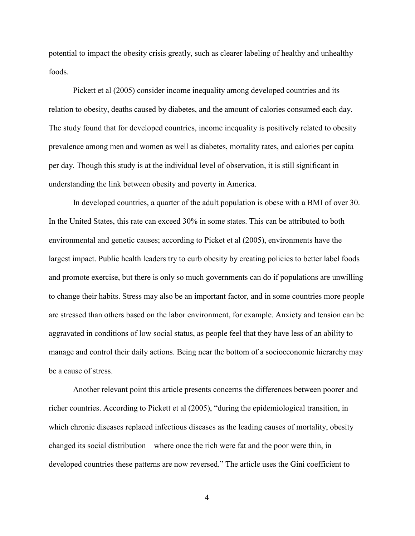potential to impact the obesity crisis greatly, such as clearer labeling of healthy and unhealthy foods.

Pickett et al (2005) consider income inequality among developed countries and its relation to obesity, deaths caused by diabetes, and the amount of calories consumed each day. The study found that for developed countries, income inequality is positively related to obesity prevalence among men and women as well as diabetes, mortality rates, and calories per capita per day. Though this study is at the individual level of observation, it is still significant in understanding the link between obesity and poverty in America.

In developed countries, a quarter of the adult population is obese with a BMI of over 30. In the United States, this rate can exceed 30% in some states. This can be attributed to both environmental and genetic causes; according to Picket et al (2005), environments have the largest impact. Public health leaders try to curb obesity by creating policies to better label foods and promote exercise, but there is only so much governments can do if populations are unwilling to change their habits. Stress may also be an important factor, and in some countries more people are stressed than others based on the labor environment, for example. Anxiety and tension can be aggravated in conditions of low social status, as people feel that they have less of an ability to manage and control their daily actions. Being near the bottom of a socioeconomic hierarchy may be a cause of stress.

Another relevant point this article presents concerns the differences between poorer and richer countries. According to Pickett et al (2005), "during the epidemiological transition, in which chronic diseases replaced infectious diseases as the leading causes of mortality, obesity changed its social distribution—where once the rich were fat and the poor were thin, in developed countries these patterns are now reversed." The article uses the Gini coefficient to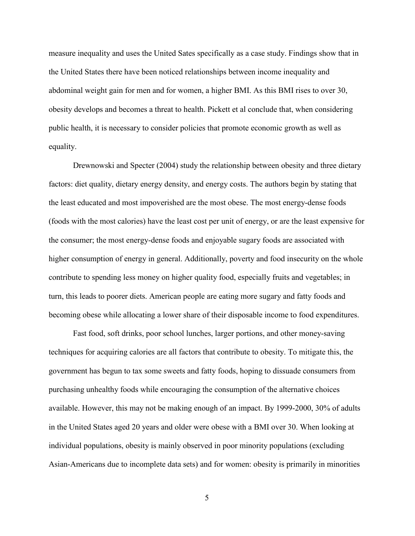measure inequality and uses the United Sates specifically as a case study. Findings show that in the United States there have been noticed relationships between income inequality and abdominal weight gain for men and for women, a higher BMI. As this BMI rises to over 30, obesity develops and becomes a threat to health. Pickett et al conclude that, when considering public health, it is necessary to consider policies that promote economic growth as well as equality.

Drewnowski and Specter (2004) study the relationship between obesity and three dietary factors: diet quality, dietary energy density, and energy costs. The authors begin by stating that the least educated and most impoverished are the most obese. The most energy-dense foods (foods with the most calories) have the least cost per unit of energy, or are the least expensive for the consumer; the most energy-dense foods and enjoyable sugary foods are associated with higher consumption of energy in general. Additionally, poverty and food insecurity on the whole contribute to spending less money on higher quality food, especially fruits and vegetables; in turn, this leads to poorer diets. American people are eating more sugary and fatty foods and becoming obese while allocating a lower share of their disposable income to food expenditures.

Fast food, soft drinks, poor school lunches, larger portions, and other money-saving techniques for acquiring calories are all factors that contribute to obesity. To mitigate this, the government has begun to tax some sweets and fatty foods, hoping to dissuade consumers from purchasing unhealthy foods while encouraging the consumption of the alternative choices available. However, this may not be making enough of an impact. By 1999-2000, 30% of adults in the United States aged 20 years and older were obese with a BMI over 30. When looking at individual populations, obesity is mainly observed in poor minority populations (excluding Asian-Americans due to incomplete data sets) and for women: obesity is primarily in minorities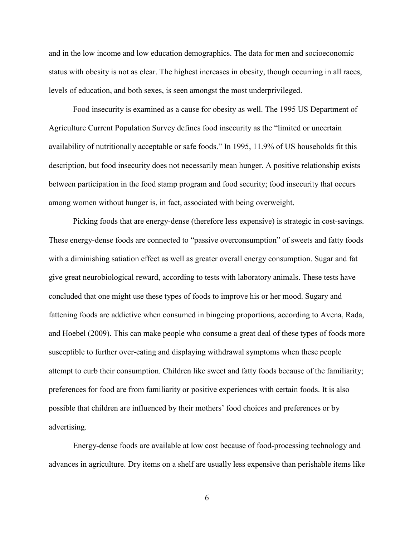and in the low income and low education demographics. The data for men and socioeconomic status with obesity is not as clear. The highest increases in obesity, though occurring in all races, levels of education, and both sexes, is seen amongst the most underprivileged.

Food insecurity is examined as a cause for obesity as well. The 1995 US Department of Agriculture Current Population Survey defines food insecurity as the "limited or uncertain availability of nutritionally acceptable or safe foods." In 1995, 11.9% of US households fit this description, but food insecurity does not necessarily mean hunger. A positive relationship exists between participation in the food stamp program and food security; food insecurity that occurs among women without hunger is, in fact, associated with being overweight.

Picking foods that are energy-dense (therefore less expensive) is strategic in cost-savings. These energy-dense foods are connected to "passive overconsumption" of sweets and fatty foods with a diminishing satiation effect as well as greater overall energy consumption. Sugar and fat give great neurobiological reward, according to tests with laboratory animals. These tests have concluded that one might use these types of foods to improve his or her mood. Sugary and fattening foods are addictive when consumed in bingeing proportions, according to Avena, Rada, and Hoebel (2009). This can make people who consume a great deal of these types of foods more susceptible to further over-eating and displaying withdrawal symptoms when these people attempt to curb their consumption. Children like sweet and fatty foods because of the familiarity; preferences for food are from familiarity or positive experiences with certain foods. It is also possible that children are influenced by their mothers' food choices and preferences or by advertising.

Energy-dense foods are available at low cost because of food-processing technology and advances in agriculture. Dry items on a shelf are usually less expensive than perishable items like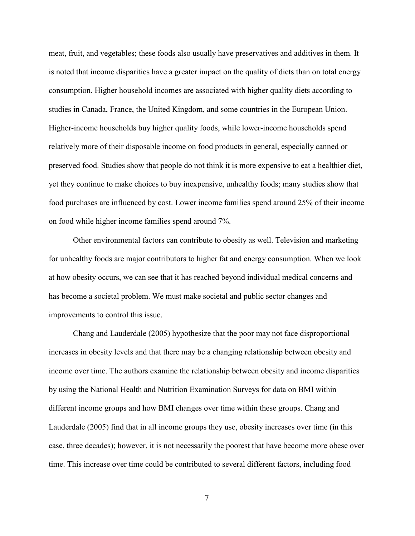meat, fruit, and vegetables; these foods also usually have preservatives and additives in them. It is noted that income disparities have a greater impact on the quality of diets than on total energy consumption. Higher household incomes are associated with higher quality diets according to studies in Canada, France, the United Kingdom, and some countries in the European Union. Higher-income households buy higher quality foods, while lower-income households spend relatively more of their disposable income on food products in general, especially canned or preserved food. Studies show that people do not think it is more expensive to eat a healthier diet, yet they continue to make choices to buy inexpensive, unhealthy foods; many studies show that food purchases are influenced by cost. Lower income families spend around 25% of their income on food while higher income families spend around 7%.

Other environmental factors can contribute to obesity as well. Television and marketing for unhealthy foods are major contributors to higher fat and energy consumption. When we look at how obesity occurs, we can see that it has reached beyond individual medical concerns and has become a societal problem. We must make societal and public sector changes and improvements to control this issue.

Chang and Lauderdale (2005) hypothesize that the poor may not face disproportional increases in obesity levels and that there may be a changing relationship between obesity and income over time. The authors examine the relationship between obesity and income disparities by using the National Health and Nutrition Examination Surveys for data on BMI within different income groups and how BMI changes over time within these groups. Chang and Lauderdale (2005) find that in all income groups they use, obesity increases over time (in this case, three decades); however, it is not necessarily the poorest that have become more obese over time. This increase over time could be contributed to several different factors, including food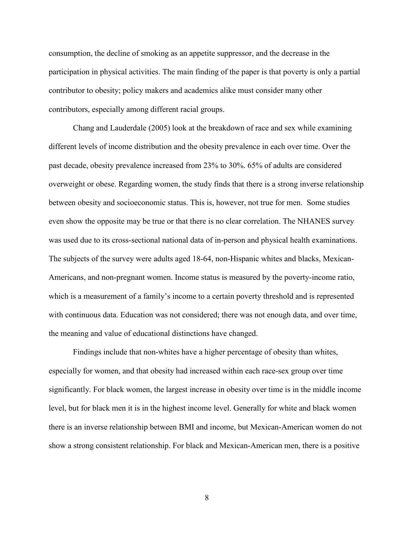consumption, the decline of smoking as an appetite suppressor, and the decrease in the participation in physical activities. The main finding of the paper is that poverty is only a partial contributor to obesity; policy makers and academics alike must consider many other contributors, especially among different racial groups.

Chang and Lauderdale (2005) look at the breakdown of race and sex while examining different levels of income distribution and the obesity prevalence in each over time. Over the past decade, obesity prevalence increased from 23% to 30%. 65% of adults are considered overweight or obese. Regarding women, the study finds that there is a strong inverse relationship between obesity and socioeconomic status. This is, however, not true for men. Some studies even show the opposite may be true or that there is no clear correlation. The NHANES survey was used due to its cross-sectional national data of in-person and physical health examinations. The subjects of the survey were adults aged 18-64, non-Hispanic whites and blacks, Mexican-Americans, and non-pregnant women. Income status is measured by the poverty-income ratio, which is a measurement of a family's income to a certain poverty threshold and is represented with continuous data. Education was not considered; there was not enough data, and over time, the meaning and value of educational distinctions have changed.

Findings include that non-whites have a higher percentage of obesity than whites, especially for women, and that obesity had increased within each race-sex group over time significantly. For black women, the largest increase in obesity over time is in the middle income level, but for black men it is in the highest income level. Generally for white and black women there is an inverse relationship between BMI and income, but Mexican-American women do not show a strong consistent relationship. For black and Mexican-American men, there is a positive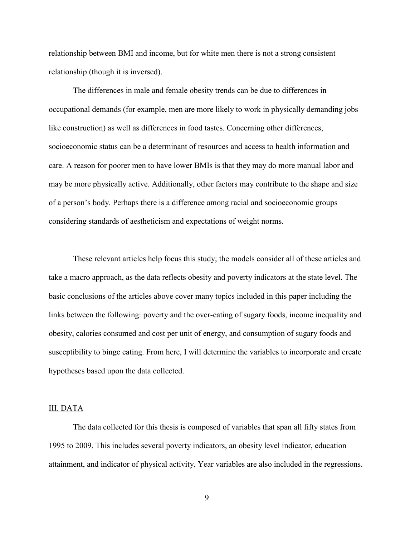relationship between BMI and income, but for white men there is not a strong consistent relationship (though it is inversed).

The differences in male and female obesity trends can be due to differences in occupational demands (for example, men are more likely to work in physically demanding jobs like construction) as well as differences in food tastes. Concerning other differences, socioeconomic status can be a determinant of resources and access to health information and care. A reason for poorer men to have lower BMIs is that they may do more manual labor and may be more physically active. Additionally, other factors may contribute to the shape and size of a person's body. Perhaps there is a difference among racial and socioeconomic groups considering standards of aestheticism and expectations of weight norms.

These relevant articles help focus this study; the models consider all of these articles and take a macro approach, as the data reflects obesity and poverty indicators at the state level. The basic conclusions of the articles above cover many topics included in this paper including the links between the following: poverty and the over-eating of sugary foods, income inequality and obesity, calories consumed and cost per unit of energy, and consumption of sugary foods and susceptibility to binge eating. From here, I will determine the variables to incorporate and create hypotheses based upon the data collected.

# III. DATA

The data collected for this thesis is composed of variables that span all fifty states from 1995 to 2009. This includes several poverty indicators, an obesity level indicator, education attainment, and indicator of physical activity. Year variables are also included in the regressions.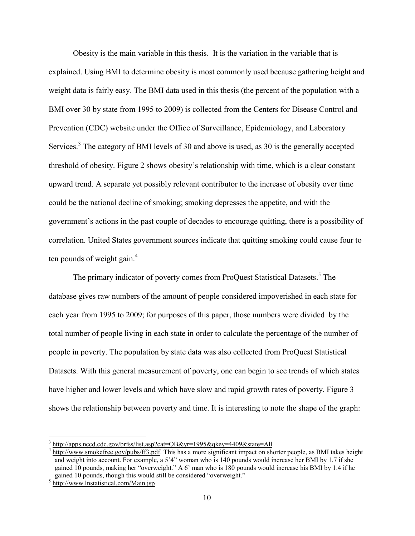Obesity is the main variable in this thesis. It is the variation in the variable that is explained. Using BMI to determine obesity is most commonly used because gathering height and weight data is fairly easy. The BMI data used in this thesis (the percent of the population with a BMI over 30 by state from 1995 to 2009) is collected from the Centers for Disease Control and Prevention (CDC) website under the Office of Surveillance, Epidemiology, and Laboratory Services.<sup>3</sup> The category of BMI levels of 30 and above is used, as 30 is the generally accepted threshold of obesity. Figure 2 shows obesity's relationship with time, which is a clear constant upward trend. A separate yet possibly relevant contributor to the increase of obesity over time could be the national decline of smoking; smoking depresses the appetite, and with the government's actions in the past couple of decades to encourage quitting, there is a possibility of correlation. United States government sources indicate that quitting smoking could cause four to ten pounds of weight gain.<sup>4</sup>

The primary indicator of poverty comes from ProQuest Statistical Datasets.<sup>5</sup> The database gives raw numbers of the amount of people considered impoverished in each state for each year from 1995 to 2009; for purposes of this paper, those numbers were divided by the total number of people living in each state in order to calculate the percentage of the number of people in poverty. The population by state data was also collected from ProQuest Statistical Datasets. With this general measurement of poverty, one can begin to see trends of which states have higher and lower levels and which have slow and rapid growth rates of poverty. Figure 3 shows the relationship between poverty and time. It is interesting to note the shape of the graph:

<sup>&</sup>lt;sup>3</sup> <http://apps.nccd.cdc.gov/brfss/list.asp?cat=OB&yr=1995&qkey=4409&state=All>

<sup>&</sup>lt;sup>4</sup> [http://www.smokefree.gov/pubs/ff3.pdf.](http://www.smokefree.gov/pubs/ff3.pdf) This has a more significant impact on shorter people, as BMI takes height and weight into account. For example, a 5'4" woman who is 140 pounds would increase her BMI by 1.7 if she gained 10 pounds, making her "overweight." A 6' man who is 180 pounds would increase his BMI by 1.4 if he gained 10 pounds, though this would still be considered "overweight."

<sup>&</sup>lt;sup>5</sup> <http://www.lnstatistical.com/Main.jsp>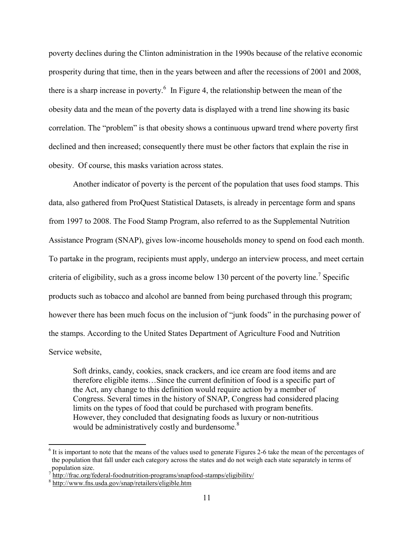poverty declines during the Clinton administration in the 1990s because of the relative economic prosperity during that time, then in the years between and after the recessions of 2001 and 2008, there is a sharp increase in poverty.<sup>6</sup> In Figure 4, the relationship between the mean of the obesity data and the mean of the poverty data is displayed with a trend line showing its basic correlation. The "problem" is that obesity shows a continuous upward trend where poverty first declined and then increased; consequently there must be other factors that explain the rise in obesity. Of course, this masks variation across states.

Another indicator of poverty is the percent of the population that uses food stamps. This data, also gathered from ProQuest Statistical Datasets, is already in percentage form and spans from 1997 to 2008. The Food Stamp Program, also referred to as the Supplemental Nutrition Assistance Program (SNAP), gives low-income households money to spend on food each month. To partake in the program, recipients must apply, undergo an interview process, and meet certain criteria of eligibility, such as a gross income below 130 percent of the poverty line.<sup>7</sup> Specific products such as tobacco and alcohol are banned from being purchased through this program; however there has been much focus on the inclusion of "junk foods" in the purchasing power of the stamps. According to the United States Department of Agriculture Food and Nutrition Service website,

Soft drinks, candy, cookies, snack crackers, and ice cream are food items and are therefore eligible items…Since the current definition of food is a specific part of the Act, any change to this definition would require action by a member of Congress. Several times in the history of SNAP, Congress had considered placing limits on the types of food that could be purchased with program benefits. However, they concluded that designating foods as luxury or non-nutritious would be administratively costly and burdensome.<sup>8</sup>

<sup>&</sup>lt;sup>6</sup> It is important to note that the means of the values used to generate Figures 2-6 take the mean of the percentages of the population that fall under each category across the states and do not weigh each state separately in terms of population size.

<sup>7</sup> <http://frac.org/federal-foodnutrition-programs/snapfood-stamps/eligibility/>

<sup>8</sup> <http://www.fns.usda.gov/snap/retailers/eligible.htm>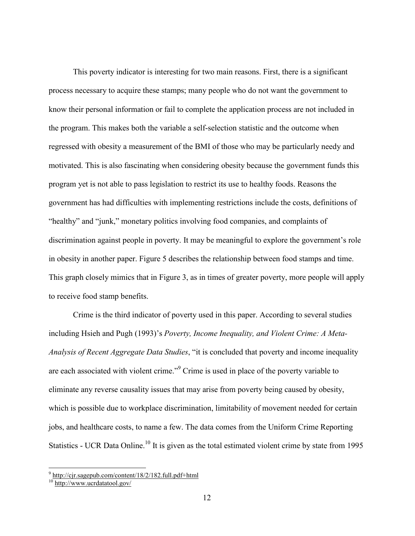This poverty indicator is interesting for two main reasons. First, there is a significant process necessary to acquire these stamps; many people who do not want the government to know their personal information or fail to complete the application process are not included in the program. This makes both the variable a self-selection statistic and the outcome when regressed with obesity a measurement of the BMI of those who may be particularly needy and motivated. This is also fascinating when considering obesity because the government funds this program yet is not able to pass legislation to restrict its use to healthy foods. Reasons the government has had difficulties with implementing restrictions include the costs, definitions of "healthy" and "junk," monetary politics involving food companies, and complaints of discrimination against people in poverty. It may be meaningful to explore the government's role in obesity in another paper. Figure 5 describes the relationship between food stamps and time. This graph closely mimics that in Figure 3, as in times of greater poverty, more people will apply to receive food stamp benefits.

Crime is the third indicator of poverty used in this paper. According to several studies including Hsieh and Pugh (1993)'s *Poverty, Income Inequality, and Violent Crime: A Meta-Analysis of Recent Aggregate Data Studies*, "it is concluded that poverty and income inequality are each associated with violent crime."<sup>9</sup> Crime is used in place of the poverty variable to eliminate any reverse causality issues that may arise from poverty being caused by obesity, which is possible due to workplace discrimination, limitability of movement needed for certain jobs, and healthcare costs, to name a few. The data comes from the Uniform Crime Reporting Statistics - UCR Data Online.<sup>10</sup> It is given as the total estimated violent crime by state from 1995

<sup>&</sup>lt;sup>9</sup> <http://cjr.sagepub.com/content/18/2/182.full.pdf+html>

<sup>&</sup>lt;sup>10</sup> <http://www.ucrdatatool.gov/>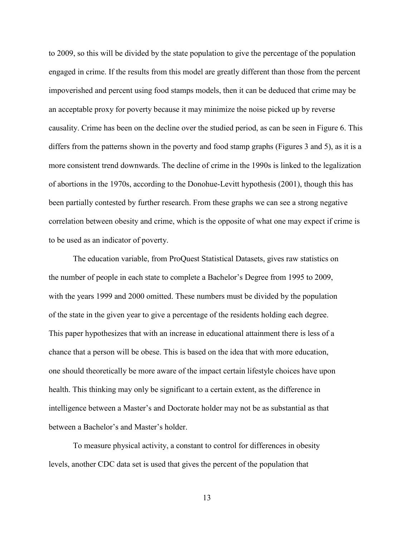to 2009, so this will be divided by the state population to give the percentage of the population engaged in crime. If the results from this model are greatly different than those from the percent impoverished and percent using food stamps models, then it can be deduced that crime may be an acceptable proxy for poverty because it may minimize the noise picked up by reverse causality. Crime has been on the decline over the studied period, as can be seen in Figure 6. This differs from the patterns shown in the poverty and food stamp graphs (Figures 3 and 5), as it is a more consistent trend downwards. The decline of crime in the 1990s is linked to the legalization of abortions in the 1970s, according to the Donohue-Levitt hypothesis (2001), though this has been partially contested by further research. From these graphs we can see a strong negative correlation between obesity and crime, which is the opposite of what one may expect if crime is to be used as an indicator of poverty.

The education variable, from ProQuest Statistical Datasets, gives raw statistics on the number of people in each state to complete a Bachelor's Degree from 1995 to 2009, with the years 1999 and 2000 omitted. These numbers must be divided by the population of the state in the given year to give a percentage of the residents holding each degree. This paper hypothesizes that with an increase in educational attainment there is less of a chance that a person will be obese. This is based on the idea that with more education, one should theoretically be more aware of the impact certain lifestyle choices have upon health. This thinking may only be significant to a certain extent, as the difference in intelligence between a Master's and Doctorate holder may not be as substantial as that between a Bachelor's and Master's holder.

To measure physical activity, a constant to control for differences in obesity levels, another CDC data set is used that gives the percent of the population that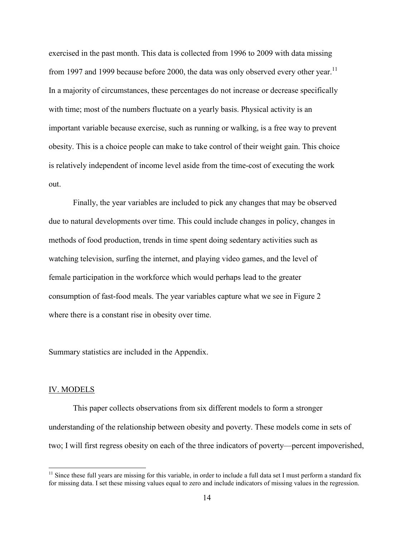exercised in the past month. This data is collected from 1996 to 2009 with data missing from 1997 and 1999 because before 2000, the data was only observed every other year.<sup>11</sup> In a majority of circumstances, these percentages do not increase or decrease specifically with time; most of the numbers fluctuate on a yearly basis. Physical activity is an important variable because exercise, such as running or walking, is a free way to prevent obesity. This is a choice people can make to take control of their weight gain. This choice is relatively independent of income level aside from the time-cost of executing the work out.

Finally, the year variables are included to pick any changes that may be observed due to natural developments over time. This could include changes in policy, changes in methods of food production, trends in time spent doing sedentary activities such as watching television, surfing the internet, and playing video games, and the level of female participation in the workforce which would perhaps lead to the greater consumption of fast-food meals. The year variables capture what we see in Figure 2 where there is a constant rise in obesity over time.

Summary statistics are included in the Appendix.

#### IV. MODELS

This paper collects observations from six different models to form a stronger understanding of the relationship between obesity and poverty. These models come in sets of two; I will first regress obesity on each of the three indicators of poverty—percent impoverished,

 $11$  Since these full years are missing for this variable, in order to include a full data set I must perform a standard fix for missing data. I set these missing values equal to zero and include indicators of missing values in the regression.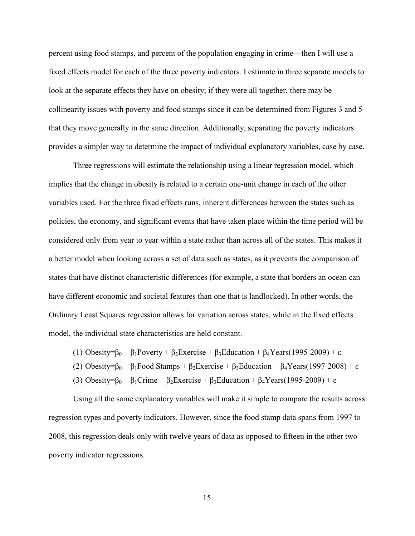percent using food stamps, and percent of the population engaging in crime—then I will use a fixed effects model for each of the three poverty indicators. I estimate in three separate models to look at the separate effects they have on obesity; if they were all together, there may be collinearity issues with poverty and food stamps since it can be determined from Figures 3 and 5 that they move generally in the same direction. Additionally, separating the poverty indicators provides a simpler way to determine the impact of individual explanatory variables, case by case.

Three regressions will estimate the relationship using a linear regression model, which implies that the change in obesity is related to a certain one-unit change in each of the other variables used. For the three fixed effects runs, inherent differences between the states such as policies, the economy, and significant events that have taken place within the time period will be considered only from year to year within a state rather than across all of the states. This makes it a better model when looking across a set of data such as states, as it prevents the comparison of states that have distinct characteristic differences (for example, a state that borders an ocean can have different economic and societal features than one that is landlocked). In other words, the Ordinary Least Squares regression allows for variation across states, while in the fixed effects model, the individual state characteristics are held constant.

- (1) Obesity= $\beta_0 + \beta_1$ Poverty +  $\beta_2$ Exercise +  $\beta_3$ Education +  $\beta_4$ Years(1995-2009) + ε
- (2) Obesity= $\beta_0 + \beta_1$ Food Stamps +  $\beta_2$ Exercise +  $\beta_3$ Education +  $\beta_4$ Years(1997-2008) + ε
- (3) Obesity= $\beta_0 + \beta_1$ Crime +  $\beta_2$ Exercise +  $\beta_3$ Education +  $\beta_4$ Years(1995-2009) + ε

Using all the same explanatory variables will make it simple to compare the results across regression types and poverty indicators. However, since the food stamp data spans from 1997 to 2008, this regression deals only with twelve years of data as opposed to fifteen in the other two poverty indicator regressions.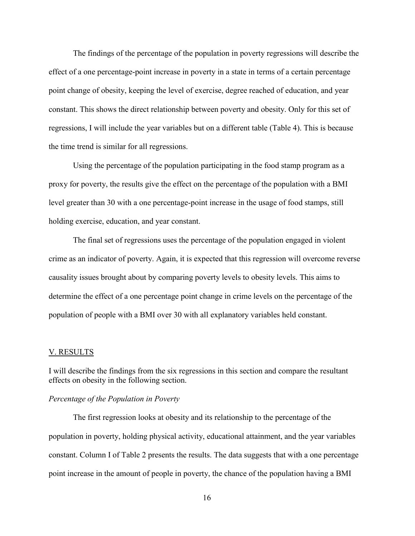The findings of the percentage of the population in poverty regressions will describe the effect of a one percentage-point increase in poverty in a state in terms of a certain percentage point change of obesity, keeping the level of exercise, degree reached of education, and year constant. This shows the direct relationship between poverty and obesity. Only for this set of regressions, I will include the year variables but on a different table (Table 4). This is because the time trend is similar for all regressions.

Using the percentage of the population participating in the food stamp program as a proxy for poverty, the results give the effect on the percentage of the population with a BMI level greater than 30 with a one percentage-point increase in the usage of food stamps, still holding exercise, education, and year constant.

The final set of regressions uses the percentage of the population engaged in violent crime as an indicator of poverty. Again, it is expected that this regression will overcome reverse causality issues brought about by comparing poverty levels to obesity levels. This aims to determine the effect of a one percentage point change in crime levels on the percentage of the population of people with a BMI over 30 with all explanatory variables held constant.

### V. RESULTS

I will describe the findings from the six regressions in this section and compare the resultant effects on obesity in the following section.

# *Percentage of the Population in Poverty*

The first regression looks at obesity and its relationship to the percentage of the population in poverty, holding physical activity, educational attainment, and the year variables constant. Column I of Table 2 presents the results. The data suggests that with a one percentage point increase in the amount of people in poverty, the chance of the population having a BMI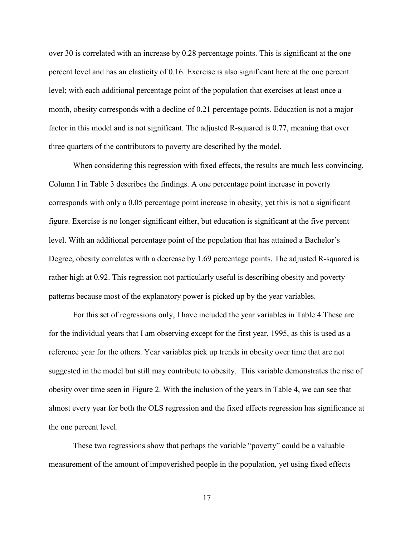over 30 is correlated with an increase by 0.28 percentage points. This is significant at the one percent level and has an elasticity of 0.16. Exercise is also significant here at the one percent level; with each additional percentage point of the population that exercises at least once a month, obesity corresponds with a decline of 0.21 percentage points. Education is not a major factor in this model and is not significant. The adjusted R-squared is 0.77, meaning that over three quarters of the contributors to poverty are described by the model.

When considering this regression with fixed effects, the results are much less convincing. Column I in Table 3 describes the findings. A one percentage point increase in poverty corresponds with only a 0.05 percentage point increase in obesity, yet this is not a significant figure. Exercise is no longer significant either, but education is significant at the five percent level. With an additional percentage point of the population that has attained a Bachelor's Degree, obesity correlates with a decrease by 1.69 percentage points. The adjusted R-squared is rather high at 0.92. This regression not particularly useful is describing obesity and poverty patterns because most of the explanatory power is picked up by the year variables.

For this set of regressions only, I have included the year variables in Table 4.These are for the individual years that I am observing except for the first year, 1995, as this is used as a reference year for the others. Year variables pick up trends in obesity over time that are not suggested in the model but still may contribute to obesity. This variable demonstrates the rise of obesity over time seen in Figure 2. With the inclusion of the years in Table 4, we can see that almost every year for both the OLS regression and the fixed effects regression has significance at the one percent level.

These two regressions show that perhaps the variable "poverty" could be a valuable measurement of the amount of impoverished people in the population, yet using fixed effects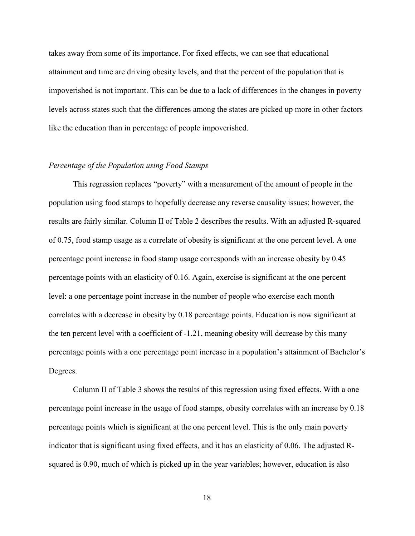takes away from some of its importance. For fixed effects, we can see that educational attainment and time are driving obesity levels, and that the percent of the population that is impoverished is not important. This can be due to a lack of differences in the changes in poverty levels across states such that the differences among the states are picked up more in other factors like the education than in percentage of people impoverished.

# *Percentage of the Population using Food Stamps*

This regression replaces "poverty" with a measurement of the amount of people in the population using food stamps to hopefully decrease any reverse causality issues; however, the results are fairly similar. Column II of Table 2 describes the results. With an adjusted R-squared of 0.75, food stamp usage as a correlate of obesity is significant at the one percent level. A one percentage point increase in food stamp usage corresponds with an increase obesity by 0.45 percentage points with an elasticity of 0.16. Again, exercise is significant at the one percent level: a one percentage point increase in the number of people who exercise each month correlates with a decrease in obesity by 0.18 percentage points. Education is now significant at the ten percent level with a coefficient of -1.21, meaning obesity will decrease by this many percentage points with a one percentage point increase in a population's attainment of Bachelor's Degrees.

Column II of Table 3 shows the results of this regression using fixed effects. With a one percentage point increase in the usage of food stamps, obesity correlates with an increase by 0.18 percentage points which is significant at the one percent level. This is the only main poverty indicator that is significant using fixed effects, and it has an elasticity of 0.06. The adjusted Rsquared is 0.90, much of which is picked up in the year variables; however, education is also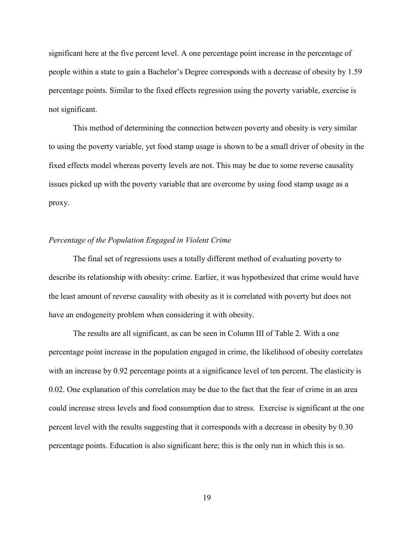significant here at the five percent level. A one percentage point increase in the percentage of people within a state to gain a Bachelor's Degree corresponds with a decrease of obesity by 1.59 percentage points. Similar to the fixed effects regression using the poverty variable, exercise is not significant.

This method of determining the connection between poverty and obesity is very similar to using the poverty variable, yet food stamp usage is shown to be a small driver of obesity in the fixed effects model whereas poverty levels are not. This may be due to some reverse causality issues picked up with the poverty variable that are overcome by using food stamp usage as a proxy.

# *Percentage of the Population Engaged in Violent Crime*

The final set of regressions uses a totally different method of evaluating poverty to describe its relationship with obesity: crime. Earlier, it was hypothesized that crime would have the least amount of reverse causality with obesity as it is correlated with poverty but does not have an endogeneity problem when considering it with obesity.

The results are all significant, as can be seen in Column III of Table 2. With a one percentage point increase in the population engaged in crime, the likelihood of obesity correlates with an increase by 0.92 percentage points at a significance level of ten percent. The elasticity is 0.02. One explanation of this correlation may be due to the fact that the fear of crime in an area could increase stress levels and food consumption due to stress. Exercise is significant at the one percent level with the results suggesting that it corresponds with a decrease in obesity by 0.30 percentage points. Education is also significant here; this is the only run in which this is so.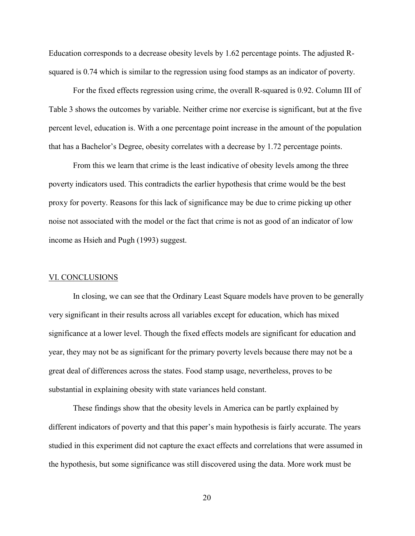Education corresponds to a decrease obesity levels by 1.62 percentage points. The adjusted Rsquared is 0.74 which is similar to the regression using food stamps as an indicator of poverty.

For the fixed effects regression using crime, the overall R-squared is 0.92. Column III of Table 3 shows the outcomes by variable. Neither crime nor exercise is significant, but at the five percent level, education is. With a one percentage point increase in the amount of the population that has a Bachelor's Degree, obesity correlates with a decrease by 1.72 percentage points.

From this we learn that crime is the least indicative of obesity levels among the three poverty indicators used. This contradicts the earlier hypothesis that crime would be the best proxy for poverty. Reasons for this lack of significance may be due to crime picking up other noise not associated with the model or the fact that crime is not as good of an indicator of low income as Hsieh and Pugh (1993) suggest.

### VI. CONCLUSIONS

In closing, we can see that the Ordinary Least Square models have proven to be generally very significant in their results across all variables except for education, which has mixed significance at a lower level. Though the fixed effects models are significant for education and year, they may not be as significant for the primary poverty levels because there may not be a great deal of differences across the states. Food stamp usage, nevertheless, proves to be substantial in explaining obesity with state variances held constant.

These findings show that the obesity levels in America can be partly explained by different indicators of poverty and that this paper's main hypothesis is fairly accurate. The years studied in this experiment did not capture the exact effects and correlations that were assumed in the hypothesis, but some significance was still discovered using the data. More work must be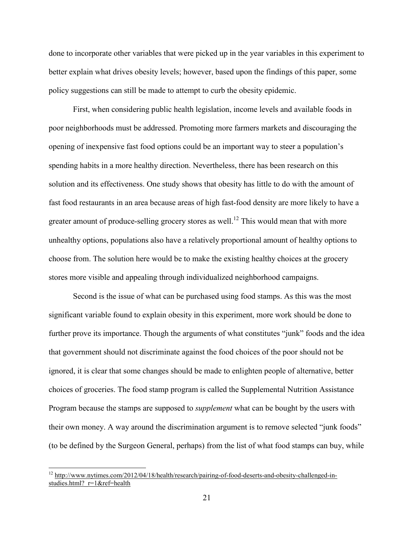done to incorporate other variables that were picked up in the year variables in this experiment to better explain what drives obesity levels; however, based upon the findings of this paper, some policy suggestions can still be made to attempt to curb the obesity epidemic.

First, when considering public health legislation, income levels and available foods in poor neighborhoods must be addressed. Promoting more farmers markets and discouraging the opening of inexpensive fast food options could be an important way to steer a population's spending habits in a more healthy direction. Nevertheless, there has been research on this solution and its effectiveness. One study shows that obesity has little to do with the amount of fast food restaurants in an area because areas of high fast-food density are more likely to have a greater amount of produce-selling grocery stores as well.<sup>12</sup> This would mean that with more unhealthy options, populations also have a relatively proportional amount of healthy options to choose from. The solution here would be to make the existing healthy choices at the grocery stores more visible and appealing through individualized neighborhood campaigns.

Second is the issue of what can be purchased using food stamps. As this was the most significant variable found to explain obesity in this experiment, more work should be done to further prove its importance. Though the arguments of what constitutes "junk" foods and the idea that government should not discriminate against the food choices of the poor should not be ignored, it is clear that some changes should be made to enlighten people of alternative, better choices of groceries. The food stamp program is called the Supplemental Nutrition Assistance Program because the stamps are supposed to *supplement* what can be bought by the users with their own money. A way around the discrimination argument is to remove selected "junk foods" (to be defined by the Surgeon General, perhaps) from the list of what food stamps can buy, while

<sup>&</sup>lt;sup>12</sup> [http://www.nytimes.com/2012/04/18/health/research/pairing-of-food-deserts-and-obesity-challenged-in](http://www.nytimes.com/2012/04/18/health/research/pairing-of-food-deserts-and-obesity-challenged-in-studies.html?_r=1&ref=health)studies.html? r=1&ref=health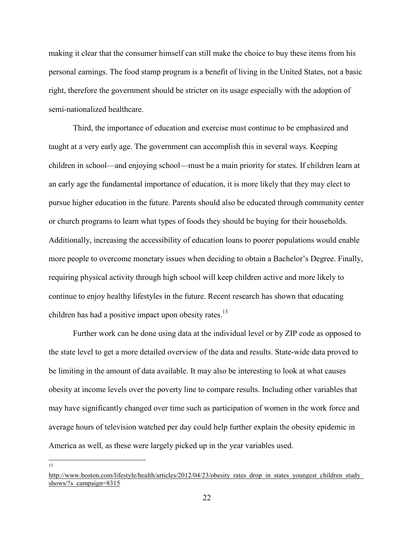making it clear that the consumer himself can still make the choice to buy these items from his personal earnings. The food stamp program is a benefit of living in the United States, not a basic right, therefore the government should be stricter on its usage especially with the adoption of semi-nationalized healthcare.

Third, the importance of education and exercise must continue to be emphasized and taught at a very early age. The government can accomplish this in several ways. Keeping children in school—and enjoying school—must be a main priority for states. If children learn at an early age the fundamental importance of education, it is more likely that they may elect to pursue higher education in the future. Parents should also be educated through community center or church programs to learn what types of foods they should be buying for their households. Additionally, increasing the accessibility of education loans to poorer populations would enable more people to overcome monetary issues when deciding to obtain a Bachelor's Degree. Finally, requiring physical activity through high school will keep children active and more likely to continue to enjoy healthy lifestyles in the future. Recent research has shown that educating children has had a positive impact upon obesity rates.<sup>13</sup>

Further work can be done using data at the individual level or by ZIP code as opposed to the state level to get a more detailed overview of the data and results. State-wide data proved to be limiting in the amount of data available. It may also be interesting to look at what causes obesity at income levels over the poverty line to compare results. Including other variables that may have significantly changed over time such as participation of women in the work force and average hours of television watched per day could help further explain the obesity epidemic in America as well, as these were largely picked up in the year variables used.

[http://www.boston.com/lifestyle/health/articles/2012/04/23/obesity\\_rates\\_drop\\_in\\_states\\_youngest\\_children\\_study\\_](http://www.boston.com/lifestyle/health/articles/2012/04/23/obesity_rates_drop_in_states_youngest_children_study_shows/?s_campaign=8315) shows/?s campaign=8315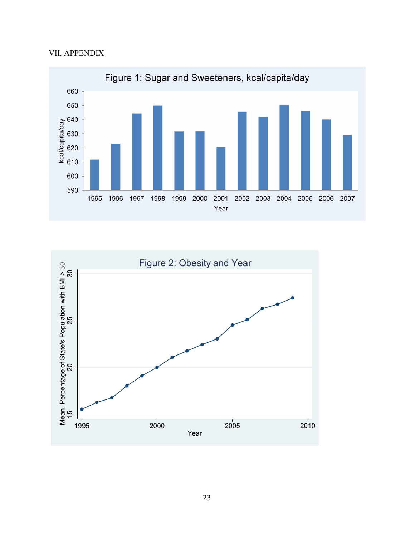# VII. APPENDIX



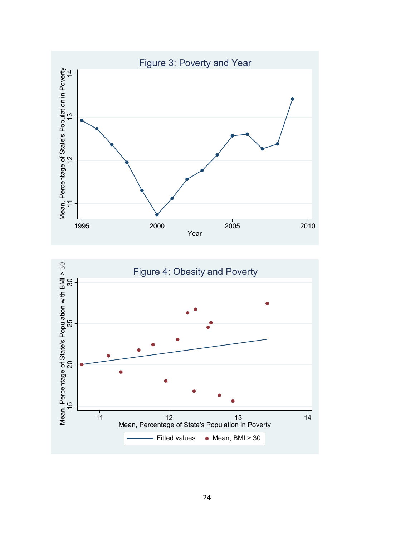

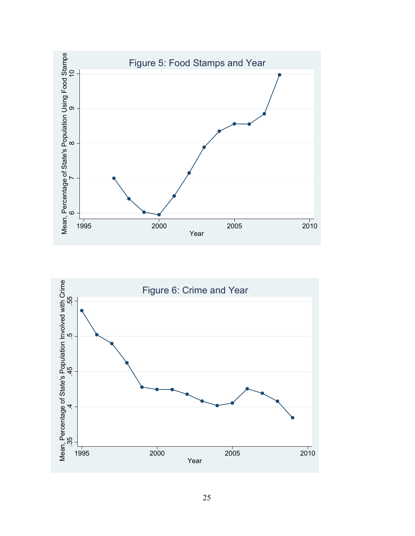

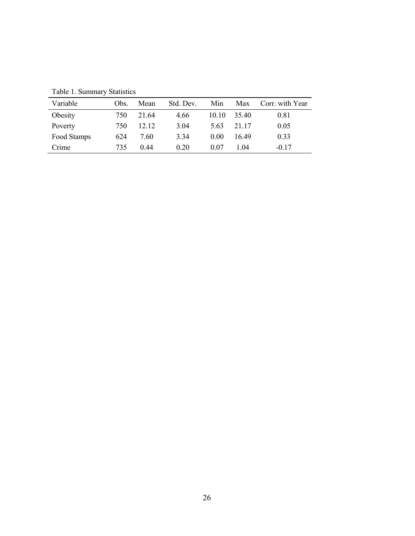| Variable    | Obs. | Mean  | Std. Dev. | Min   | Max   | Corr. with Year |
|-------------|------|-------|-----------|-------|-------|-----------------|
| Obesity     | 750  | 21.64 | 4.66      | 10.10 | 35.40 | 0.81            |
| Poverty     | 750  | 12.12 | 3.04      | 5.63  | 21 17 | 0.05            |
| Food Stamps | 624  | 7.60  | 3.34      | 0.00  | 16.49 | 0.33            |
| Crime       | 735  | 0.44  | 0.20      | 0.07  | 104   | $-0.17$         |

Table 1. Summary Statistics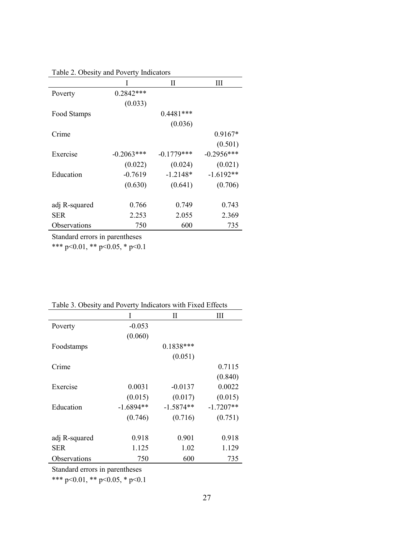Table 2. Obesity and Poverty Indicators

|               | I             | Н            | Ш            |
|---------------|---------------|--------------|--------------|
| Poverty       | $0.2842***$   |              |              |
|               | (0.033)       |              |              |
| Food Stamps   |               | $0.4481***$  |              |
|               |               | (0.036)      |              |
| Crime         |               |              | $0.9167*$    |
|               |               |              | (0.501)      |
| Exercise      | $-0.2063$ *** | $-0.1779***$ | $-0.2956***$ |
|               | (0.022)       | (0.024)      | (0.021)      |
| Education     | $-0.7619$     | $-1.2148*$   | $-1.6192**$  |
|               | (0.630)       | (0.641)      | (0.706)      |
|               |               |              |              |
| adj R-squared | 0.766         | 0.749        | 0.743        |
| <b>SER</b>    | 2.253         | 2.055        | 2.369        |
| Observations  | 750           | 600          | 735          |

Standard errors in parentheses

\*\*\* p<0.01, \*\* p<0.05, \* p<0.1

| I dole 5. Obesity and I overly indicators with I fact Effects |             |             |             |  |
|---------------------------------------------------------------|-------------|-------------|-------------|--|
|                                                               | I           | П           | Ш           |  |
| Poverty                                                       | $-0.053$    |             |             |  |
|                                                               | (0.060)     |             |             |  |
| Foodstamps                                                    |             | $0.1838***$ |             |  |
|                                                               |             | (0.051)     |             |  |
| Crime                                                         |             |             | 0.7115      |  |
|                                                               |             |             | (0.840)     |  |
| Exercise                                                      | 0.0031      | $-0.0137$   | 0.0022      |  |
|                                                               | (0.015)     | (0.017)     | (0.015)     |  |
| Education                                                     | $-1.6894**$ | $-1.5874**$ | $-1.7207**$ |  |
|                                                               | (0.746)     | (0.716)     | (0.751)     |  |
| adj R-squared                                                 | 0.918       | 0.901       | 0.918       |  |
| <b>SER</b>                                                    | 1.125       | 1.02        | 1.129       |  |
| Observations                                                  | 750         | 600         | 735         |  |

Table 3. Obesity and Poverty Indicators with Fixed Effects

Standard errors in parentheses

\*\*\* p<0.01, \*\* p<0.05, \* p<0.1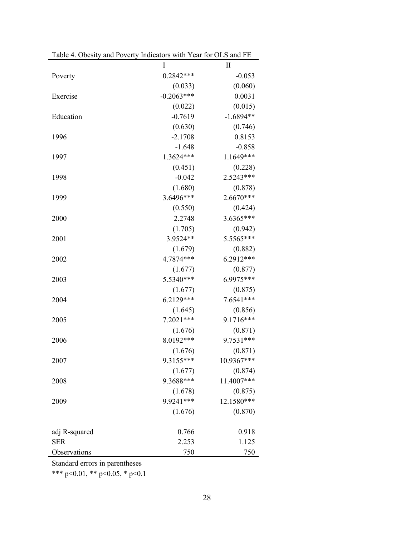|               | I            | $\mathbf{I}$ |
|---------------|--------------|--------------|
| Poverty       | $0.2842***$  | $-0.053$     |
|               | (0.033)      | (0.060)      |
| Exercise      | $-0.2063***$ | 0.0031       |
|               | (0.022)      | (0.015)      |
| Education     | $-0.7619$    | $-1.6894**$  |
|               | (0.630)      | (0.746)      |
| 1996          | $-2.1708$    | 0.8153       |
|               | $-1.648$     | $-0.858$     |
| 1997          | 1.3624***    | 1.1649***    |
|               | (0.451)      | (0.228)      |
| 1998          | $-0.042$     | 2.5243***    |
|               | (1.680)      | (0.878)      |
| 1999          | 3.6496***    | 2.6670***    |
|               | (0.550)      | (0.424)      |
| 2000          | 2.2748       | 3.6365***    |
|               | (1.705)      | (0.942)      |
| 2001          | 3.9524**     | 5.5565***    |
|               | (1.679)      | (0.882)      |
| 2002          | 4.7874***    | 6.2912***    |
|               | (1.677)      | (0.877)      |
| 2003          | 5.5340***    | 6.9975***    |
|               | (1.677)      | (0.875)      |
| 2004          | 6.2129***    | 7.6541***    |
|               | (1.645)      | (0.856)      |
| 2005          | 7.2021***    | 9.1716***    |
|               | (1.676)      | (0.871)      |
| 2006          | 8.0192***    | 9.7531***    |
|               | (1.676)      | (0.871)      |
| 2007          | 9.3155***    | 10.9367***   |
|               | (1.677)      | (0.874)      |
| 2008          | 9.3688***    | 11.4007***   |
|               | (1.678)      | (0.875)      |
| 2009          | 9.9241***    | 12.1580***   |
|               | (1.676)      | (0.870)      |
| adj R-squared | 0.766        | 0.918        |
| <b>SER</b>    | 2.253        | 1.125        |
| Observations  | 750          | 750          |

Table 4. Obesity and Poverty Indicators with Year for OLS and FE

Standard errors in parentheses

\*\*\* p<0.01, \*\* p<0.05, \* p<0.1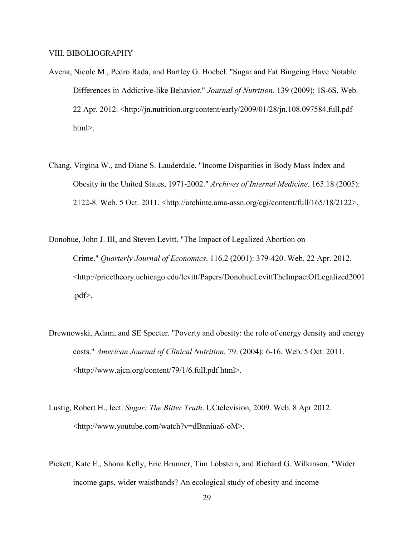#### VIII. BIBOLIOGRAPHY

- Avena, Nicole M., Pedro Rada, and Bartley G. Hoebel. "Sugar and Fat Bingeing Have Notable Differences in Addictive-like Behavior." *Journal of Nutrition*. 139 (2009): 1S-6S. Web. 22 Apr. 2012. <http://jn.nutrition.org/content/early/2009/01/28/jn.108.097584.full.pdf html>.
- Chang, Virgina W., and Diane S. Lauderdale. "Income Disparities in Body Mass Index and Obesity in the United States, 1971-2002." *Archives of Internal Medicine*. 165.18 (2005): 2122-8. Web. 5 Oct. 2011. <http://archinte.ama-assn.org/cgi/content/full/165/18/2122>.
- Donohue, John J. III, and Steven Levitt. "The Impact of Legalized Abortion on Crime." *Quarterly Journal of Economics*. 116.2 (2001): 379-420. Web. 22 Apr. 2012. <http://pricetheory.uchicago.edu/levitt/Papers/DonohueLevittTheImpactOfLegalized2001 .pdf>.
- Drewnowski, Adam, and SE Specter. "Poverty and obesity: the role of energy density and energy costs." *American Journal of Clinical Nutrition*. 79. (2004): 6-16. Web. 5 Oct. 2011. <http://www.ajcn.org/content/79/1/6.full.pdf html>.
- Lustig, Robert H., lect. *Sugar: The Bitter Truth*. UCtelevision, 2009. Web. 8 Apr 2012. <http://www.youtube.com/watch?v=dBnniua6-oM>.
- Pickett, Kate E., Shona Kelly, Eric Brunner, Tim Lobstein, and Richard G. Wilkinson. "Wider income gaps, wider waistbands? An ecological study of obesity and income